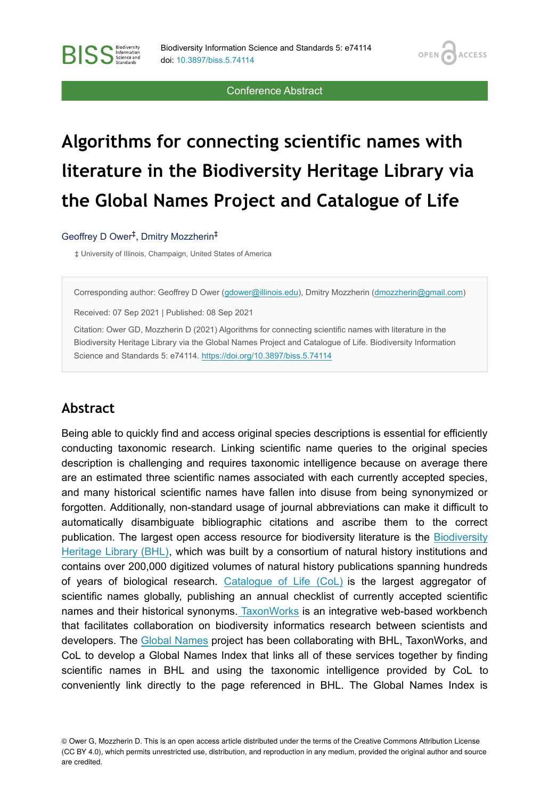**OPEN** 

**ACCESS** 

Conference Abstract

# **Algorithms for connecting scientific names with literature in the Biodiversity Heritage Library via the Global Names Project and Catalogue of Life**

#### Geoffrey D Ower<sup>‡</sup>, Dmitry Mozzherin<sup>‡</sup>

**BISS** Steince and

‡ University of Illinois, Champaign, United States of America

Corresponding author: Geoffrey D Ower [\(gdower@illinois.edu\)](mailto:gdower@illinois.edu), Dmitry Mozzherin ([dmozzherin@gmail.com](mailto:dmozzherin@gmail.com))

Received: 07 Sep 2021 | Published: 08 Sep 2021

Citation: Ower GD, Mozzherin D (2021) Algorithms for connecting scientific names with literature in the Biodiversity Heritage Library via the Global Names Project and Catalogue of Life. Biodiversity Information Science and Standards 5: e74114. <https://doi.org/10.3897/biss.5.74114>

#### **Abstract**

Being able to quickly find and access original species descriptions is essential for efficiently conducting taxonomic research. Linking scientific name queries to the original species description is challenging and requires taxonomic intelligence because on average there are an estimated three scientific names associated with each currently accepted species, and many historical scientific names have fallen into disuse from being synonymized or forgotten. Additionally, non-standard usage of journal abbreviations can make it difficult to automatically disambiguate bibliographic citations and ascribe them to the correct publication. The largest open access resource for biodiversity literature is the [Biodiversity](https://www.biodiversitylibrary.org/) [Heritage Library \(BHL\),](https://www.biodiversitylibrary.org/) which was built by a consortium of natural history institutions and contains over 200,000 digitized volumes of natural history publications spanning hundreds of years of biological research. [Catalogue of Life \(CoL\)](https://www.catalogueoflife.org/) is the largest aggregator of scientific names globally, publishing an annual checklist of currently accepted scientific names and their historical synonyms. [TaxonWorks](http://taxonworks.org/) is an integrative web-based workbench that facilitates collaboration on biodiversity informatics research between scientists and developers. The [Global Names](https://globalnames.org/) project has been collaborating with BHL, TaxonWorks, and CoL to develop a Global Names Index that links all of these services together by finding scientific names in BHL and using the taxonomic intelligence provided by CoL to conveniently link directly to the page referenced in BHL. The Global Names Index is

© Ower G, Mozzherin D. This is an open access article distributed under the terms of the Creative Commons Attribution License (CC BY 4.0), which permits unrestricted use, distribution, and reproduction in any medium, provided the original author and source are credited.